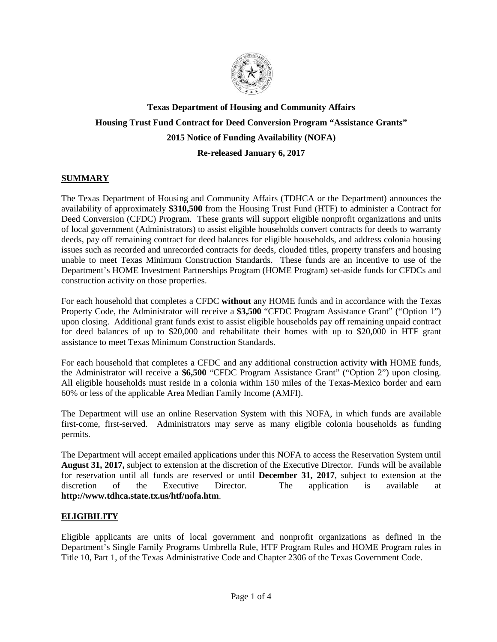

# **Texas Department of Housing and Community Affairs Housing Trust Fund Contract for Deed Conversion Program "Assistance Grants" 2015 Notice of Funding Availability (NOFA) Re-released January 6, 2017**

## **SUMMARY**

The Texas Department of Housing and Community Affairs (TDHCA or the Department) announces the availability of approximately **\$310,500** from the Housing Trust Fund (HTF) to administer a Contract for Deed Conversion (CFDC) Program. These grants will support eligible nonprofit organizations and units of local government (Administrators) to assist eligible households convert contracts for deeds to warranty deeds, pay off remaining contract for deed balances for eligible households, and address colonia housing issues such as recorded and unrecorded contracts for deeds, clouded titles, property transfers and housing unable to meet Texas Minimum Construction Standards. These funds are an incentive to use of the Department's HOME Investment Partnerships Program (HOME Program) set-aside funds for CFDCs and construction activity on those properties.

For each household that completes a CFDC **without** any HOME funds and in accordance with the Texas Property Code, the Administrator will receive a **\$3,500** "CFDC Program Assistance Grant" ("Option 1") upon closing. Additional grant funds exist to assist eligible households pay off remaining unpaid contract for deed balances of up to \$20,000 and rehabilitate their homes with up to \$20,000 in HTF grant assistance to meet Texas Minimum Construction Standards.

For each household that completes a CFDC and any additional construction activity **with** HOME funds, the Administrator will receive a **\$6,500** "CFDC Program Assistance Grant" ("Option 2") upon closing. All eligible households must reside in a colonia within 150 miles of the Texas-Mexico border and earn 60% or less of the applicable Area Median Family Income (AMFI).

The Department will use an online Reservation System with this NOFA, in which funds are available first-come, first-served. Administrators may serve as many eligible colonia households as funding permits.

The Department will accept emailed applications under this NOFA to access the Reservation System until **August 31, 2017,** subject to extension at the discretion of the Executive Director. Funds will be available for reservation until all funds are reserved or until **December 31, 2017**, subject to extension at the discretion of the Executive Director. The application is available at **http://www.tdhca.state.tx.us/htf/nofa.htm**.

## **ELIGIBILITY**

Eligible applicants are units of local government and nonprofit organizations as defined in the Department's Single Family Programs Umbrella Rule, HTF Program Rules and HOME Program rules in Title 10, Part 1, of the Texas Administrative Code and Chapter 2306 of the Texas Government Code.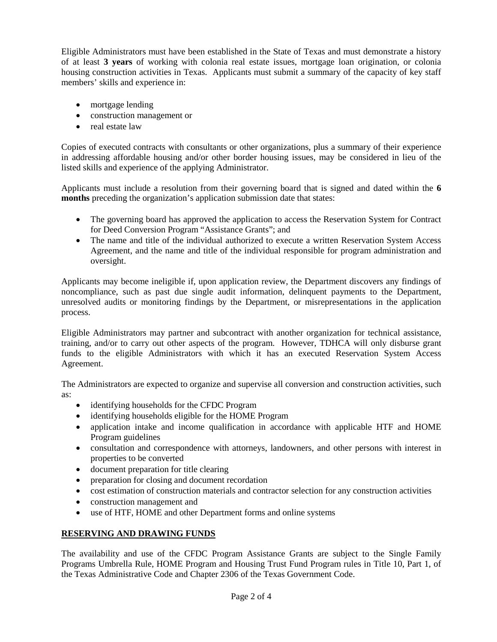Eligible Administrators must have been established in the State of Texas and must demonstrate a history of at least **3 years** of working with colonia real estate issues, mortgage loan origination, or colonia housing construction activities in Texas. Applicants must submit a summary of the capacity of key staff members' skills and experience in:

- mortgage lending
- construction management or
- real estate law

Copies of executed contracts with consultants or other organizations, plus a summary of their experience in addressing affordable housing and/or other border housing issues, may be considered in lieu of the listed skills and experience of the applying Administrator.

Applicants must include a resolution from their governing board that is signed and dated within the **6 months** preceding the organization's application submission date that states:

- The governing board has approved the application to access the Reservation System for Contract for Deed Conversion Program "Assistance Grants"; and
- The name and title of the individual authorized to execute a written Reservation System Access Agreement, and the name and title of the individual responsible for program administration and oversight.

Applicants may become ineligible if, upon application review, the Department discovers any findings of noncompliance, such as past due single audit information, delinquent payments to the Department, unresolved audits or monitoring findings by the Department, or misrepresentations in the application process.

Eligible Administrators may partner and subcontract with another organization for technical assistance, training, and/or to carry out other aspects of the program. However, TDHCA will only disburse grant funds to the eligible Administrators with which it has an executed Reservation System Access Agreement.

The Administrators are expected to organize and supervise all conversion and construction activities, such as:

- identifying households for the CFDC Program
- identifying households eligible for the HOME Program
- application intake and income qualification in accordance with applicable HTF and HOME Program guidelines
- consultation and correspondence with attorneys, landowners, and other persons with interest in properties to be converted
- document preparation for title clearing
- preparation for closing and document recordation
- cost estimation of construction materials and contractor selection for any construction activities
- construction management and
- use of HTF, HOME and other Department forms and online systems

# **RESERVING AND DRAWING FUNDS**

The availability and use of the CFDC Program Assistance Grants are subject to the Single Family Programs Umbrella Rule, HOME Program and Housing Trust Fund Program rules in Title 10, Part 1, of the Texas Administrative Code and Chapter 2306 of the Texas Government Code.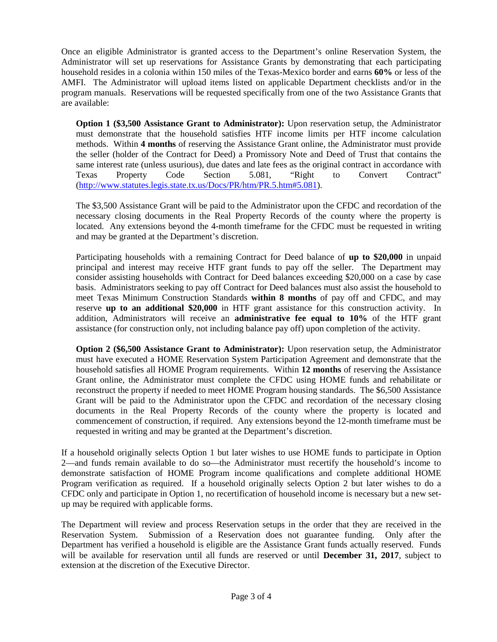Once an eligible Administrator is granted access to the Department's online Reservation System, the Administrator will set up reservations for Assistance Grants by demonstrating that each participating household resides in a colonia within 150 miles of the Texas-Mexico border and earns **60%** or less of the AMFI. The Administrator will upload items listed on applicable Department checklists and/or in the program manuals. Reservations will be requested specifically from one of the two Assistance Grants that are available:

**Option 1 (\$3,500 Assistance Grant to Administrator):** Upon reservation setup, the Administrator must demonstrate that the household satisfies HTF income limits per HTF income calculation methods. Within **4 months** of reserving the Assistance Grant online, the Administrator must provide the seller (holder of the Contract for Deed) a Promissory Note and Deed of Trust that contains the same interest rate (unless usurious), due dates and late fees as the original contract in accordance with Texas Property Code Section 5.081, "Right to Convert Contract" [\(http://www.statutes.legis.state.tx.us/Docs/PR/htm/PR.5.htm#5.081\)](http://www.statutes.legis.state.tx.us/Docs/PR/htm/PR.5.htm#5.081).

The \$3,500 Assistance Grant will be paid to the Administrator upon the CFDC and recordation of the necessary closing documents in the Real Property Records of the county where the property is located. Any extensions beyond the 4-month timeframe for the CFDC must be requested in writing and may be granted at the Department's discretion.

Participating households with a remaining Contract for Deed balance of **up to \$20,000** in unpaid principal and interest may receive HTF grant funds to pay off the seller. The Department may consider assisting households with Contract for Deed balances exceeding \$20,000 on a case by case basis. Administrators seeking to pay off Contract for Deed balances must also assist the household to meet Texas Minimum Construction Standards **within 8 months** of pay off and CFDC, and may reserve **up to an additional \$20,000** in HTF grant assistance for this construction activity. In addition, Administrators will receive an **administrative fee equal to 10%** of the HTF grant assistance (for construction only, not including balance pay off) upon completion of the activity.

**Option 2 (\$6,500 Assistance Grant to Administrator):** Upon reservation setup, the Administrator must have executed a HOME Reservation System Participation Agreement and demonstrate that the household satisfies all HOME Program requirements. Within **12 months** of reserving the Assistance Grant online, the Administrator must complete the CFDC using HOME funds and rehabilitate or reconstruct the property if needed to meet HOME Program housing standards. The \$6,500 Assistance Grant will be paid to the Administrator upon the CFDC and recordation of the necessary closing documents in the Real Property Records of the county where the property is located and commencement of construction, if required. Any extensions beyond the 12-month timeframe must be requested in writing and may be granted at the Department's discretion.

If a household originally selects Option 1 but later wishes to use HOME funds to participate in Option 2—and funds remain available to do so—the Administrator must recertify the household's income to demonstrate satisfaction of HOME Program income qualifications and complete additional HOME Program verification as required. If a household originally selects Option 2 but later wishes to do a CFDC only and participate in Option 1, no recertification of household income is necessary but a new setup may be required with applicable forms.

The Department will review and process Reservation setups in the order that they are received in the Reservation System. Submission of a Reservation does not guarantee funding. Only after the Department has verified a household is eligible are the Assistance Grant funds actually reserved. Funds will be available for reservation until all funds are reserved or until **December 31, 2017**, subject to extension at the discretion of the Executive Director.